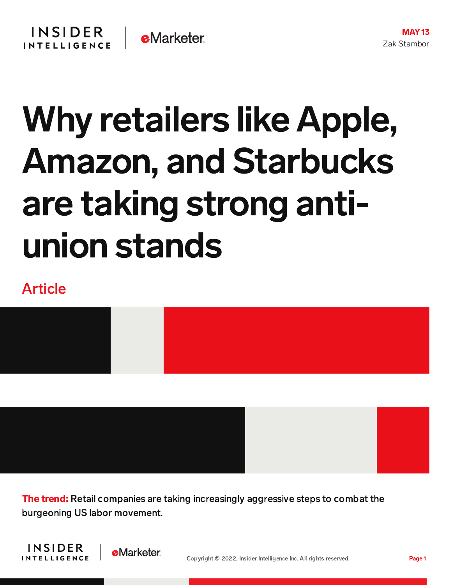## Why retailers like Apple, Amazon, and Starbucks are taking strong antiunion stands

## Article



The trend: Retail companies are taking increasingly aggressive steps to combat the burgeoning US labor movement.



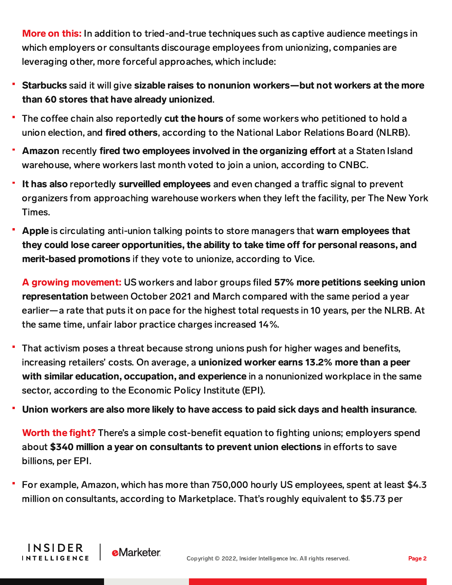More on this: In addition to tried-and-true techniques such as captive audience meetings in which employers or consultants discourage employees from unionizing, companies are leveraging other, more forceful approaches, which include:

- Starbucks said it will give sizable raises to nonunion workers—but not workers at the more than 60 stores that have already unionized.
- The coffee chain also reportedly cut the hours of some workers who petitioned to hold a union election, and fired others, according to the National Labor Relations Board (NLRB).
- Amazon recently fired two employees involved in the organizing effort at a Staten Island warehouse, where workers last month voted to join a union, according to CNBC.
- It has also reportedly surveilled employees and even changed a traffic signal to prevent organizers from approaching warehouse workers when they left the facility, per The New York Times.
- Apple is circulating anti-union talking points to store managers that warn employees that they could lose career opportunities, the ability to take time off for personal reasons, and merit-based promotions if they vote to unionize, according to Vice.

A growing movement: US workers and labor groups filed 57% more petitions seeking union representation between October 2021 and March compared with the same period a year earlier—a rate that puts it on pace for the highest total requests in 10 years, per the NLRB. At the same time, unfair labor practice charges increased 14%.

- That activism poses a threat because strong unions push for higher wages and benefits, increasing retailers' costs. On average, a unionized worker earns 13.2% more than a peer with similar education, occupation, and experience in a nonunionized workplace in the same sector, according to the Economic Policy Institute (EPI).
- Union workers are also more likely to have access to paid sick days and health insurance.

**Worth the fight?** There's a simple cost-benefit equation to fighting unions; employers spend about \$340 million a year on consultants to prevent union elections in efforts to save billions, per EPI.

For example, Amazon, which has more than 750,000 hourly US employees, spent at least \$4.3 million on consultants, according to Marketplace. That's roughly equivalent to \$5.73 per

**INSIDER** 

**INTELLIGENCE** 

**e**Marketer